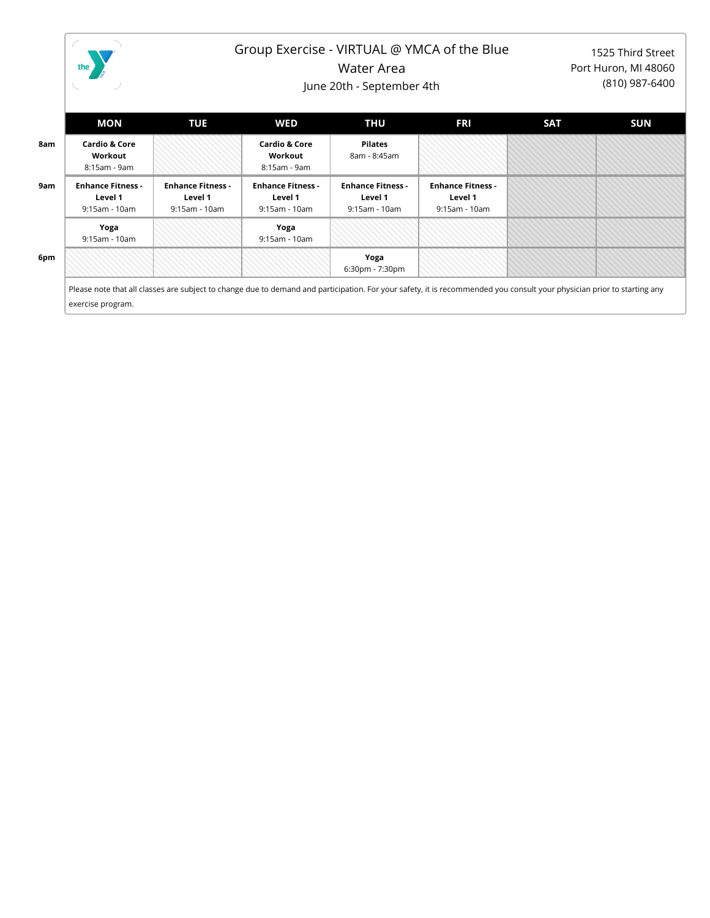

## Group Exercise - VIRTUAL @ YMCA of the Blue

Water Area

June 20th - September 4th

1525 Third Street Port Huron, MI 48060 (810) 987-6400

|     | MON                                                  | <b>TUE</b>                                           | <b>WED</b>                                           | THU                                                  | <b>FRI</b>                                           | <b>SAT</b> | SUN |
|-----|------------------------------------------------------|------------------------------------------------------|------------------------------------------------------|------------------------------------------------------|------------------------------------------------------|------------|-----|
| 8am | <b>Cardio &amp; Core</b><br>Workout<br>8:15am - 9am  |                                                      | <b>Cardio &amp; Core</b><br>Workout<br>8:15am - 9am  | Pilates<br>8am - 8:45am                              |                                                      |            |     |
| 9am | <b>Enhance Fitness -</b><br>Level 1<br>9:15am - 10am | <b>Enhance Fitness -</b><br>Level 1<br>9:15am - 10am | <b>Enhance Fitness -</b><br>Level 1<br>9:15am - 10am | <b>Enhance Fitness -</b><br>Level 1<br>9:15am - 10am | <b>Enhance Fitness -</b><br>Level 1<br>9:15am - 10am |            |     |
|     | Yoga<br>9:15am - 10am                                |                                                      | Yoga<br>9:15am - 10am                                |                                                      |                                                      |            |     |
| 6pm |                                                      |                                                      |                                                      | Yoga<br>6:30pm - 7:30pm                              |                                                      |            |     |

Please note that all classes are subject to change due to demand and participation. For your safety, it is recommended you consult your physician prior to starting any exercise program.